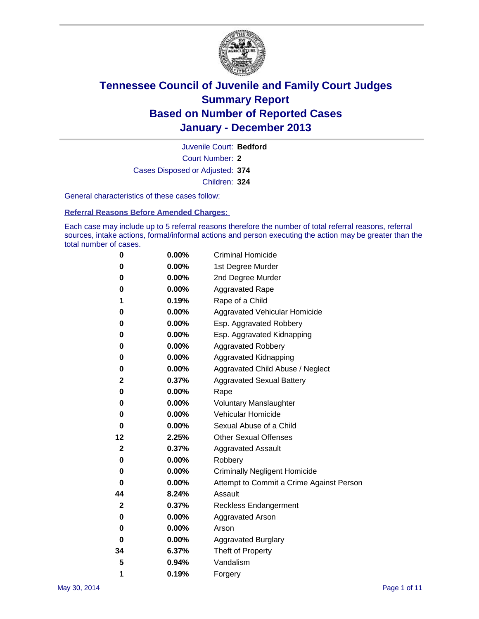

Court Number: **2** Juvenile Court: **Bedford** Cases Disposed or Adjusted: **374** Children: **324**

General characteristics of these cases follow:

**Referral Reasons Before Amended Charges:** 

Each case may include up to 5 referral reasons therefore the number of total referral reasons, referral sources, intake actions, formal/informal actions and person executing the action may be greater than the total number of cases.

| 0           | $0.00\%$ | <b>Criminal Homicide</b>                 |
|-------------|----------|------------------------------------------|
| 0           | 0.00%    | 1st Degree Murder                        |
| 0           | 0.00%    | 2nd Degree Murder                        |
| 0           | $0.00\%$ | <b>Aggravated Rape</b>                   |
| 1           | 0.19%    | Rape of a Child                          |
| 0           | $0.00\%$ | Aggravated Vehicular Homicide            |
| 0           | 0.00%    | Esp. Aggravated Robbery                  |
| 0           | 0.00%    | Esp. Aggravated Kidnapping               |
| 0           | $0.00\%$ | <b>Aggravated Robbery</b>                |
| 0           | 0.00%    | Aggravated Kidnapping                    |
| 0           | 0.00%    | Aggravated Child Abuse / Neglect         |
| 2           | 0.37%    | <b>Aggravated Sexual Battery</b>         |
| 0           | 0.00%    | Rape                                     |
| 0           | 0.00%    | <b>Voluntary Manslaughter</b>            |
| 0           | 0.00%    | Vehicular Homicide                       |
| 0           | 0.00%    | Sexual Abuse of a Child                  |
| 12          | 2.25%    | <b>Other Sexual Offenses</b>             |
| 2           | 0.37%    | <b>Aggravated Assault</b>                |
| 0           | 0.00%    | Robbery                                  |
| 0           | $0.00\%$ | <b>Criminally Negligent Homicide</b>     |
| 0           | 0.00%    | Attempt to Commit a Crime Against Person |
| 44          | 8.24%    | Assault                                  |
| $\mathbf 2$ | 0.37%    | <b>Reckless Endangerment</b>             |
| 0           | 0.00%    | <b>Aggravated Arson</b>                  |
| 0           | 0.00%    | Arson                                    |
| 0           | 0.00%    | <b>Aggravated Burglary</b>               |
| 34          | 6.37%    | Theft of Property                        |
| 5           | 0.94%    | Vandalism                                |
| 1           | 0.19%    | Forgery                                  |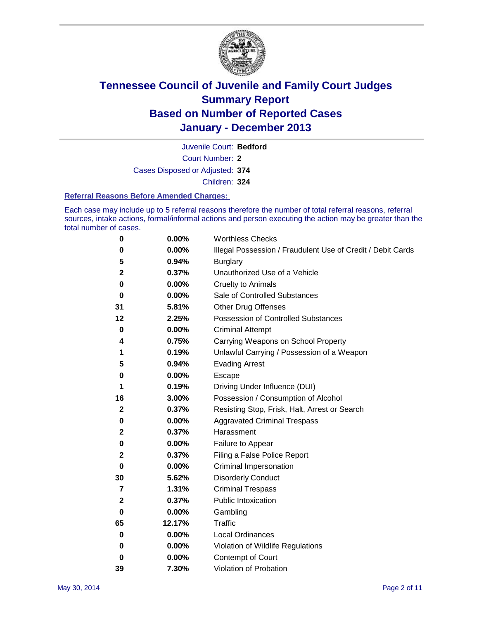

Court Number: **2** Juvenile Court: **Bedford** Cases Disposed or Adjusted: **374** Children: **324**

#### **Referral Reasons Before Amended Charges:**

Each case may include up to 5 referral reasons therefore the number of total referral reasons, referral sources, intake actions, formal/informal actions and person executing the action may be greater than the total number of cases.

| 0              | 0.00%  | <b>Worthless Checks</b>                                     |
|----------------|--------|-------------------------------------------------------------|
| 0              | 0.00%  | Illegal Possession / Fraudulent Use of Credit / Debit Cards |
| 5              | 0.94%  | <b>Burglary</b>                                             |
| $\mathbf{2}$   | 0.37%  | Unauthorized Use of a Vehicle                               |
| 0              | 0.00%  | <b>Cruelty to Animals</b>                                   |
| 0              | 0.00%  | Sale of Controlled Substances                               |
| 31             | 5.81%  | <b>Other Drug Offenses</b>                                  |
| 12             | 2.25%  | Possession of Controlled Substances                         |
| 0              | 0.00%  | <b>Criminal Attempt</b>                                     |
| 4              | 0.75%  | Carrying Weapons on School Property                         |
| 1              | 0.19%  | Unlawful Carrying / Possession of a Weapon                  |
| 5              | 0.94%  | <b>Evading Arrest</b>                                       |
| 0              | 0.00%  | <b>Escape</b>                                               |
| 1              | 0.19%  | Driving Under Influence (DUI)                               |
| 16             | 3.00%  | Possession / Consumption of Alcohol                         |
| $\mathbf{2}$   | 0.37%  | Resisting Stop, Frisk, Halt, Arrest or Search               |
| 0              | 0.00%  | <b>Aggravated Criminal Trespass</b>                         |
| $\mathbf{2}$   | 0.37%  | Harassment                                                  |
| 0              | 0.00%  | Failure to Appear                                           |
| 2              | 0.37%  | Filing a False Police Report                                |
| 0              | 0.00%  | Criminal Impersonation                                      |
| 30             | 5.62%  | <b>Disorderly Conduct</b>                                   |
| $\overline{7}$ | 1.31%  | <b>Criminal Trespass</b>                                    |
| 2              | 0.37%  | <b>Public Intoxication</b>                                  |
| 0              | 0.00%  | Gambling                                                    |
| 65             | 12.17% | <b>Traffic</b>                                              |
| 0              | 0.00%  | Local Ordinances                                            |
| 0              | 0.00%  | Violation of Wildlife Regulations                           |
| 0              | 0.00%  | Contempt of Court                                           |
| 39             | 7.30%  | Violation of Probation                                      |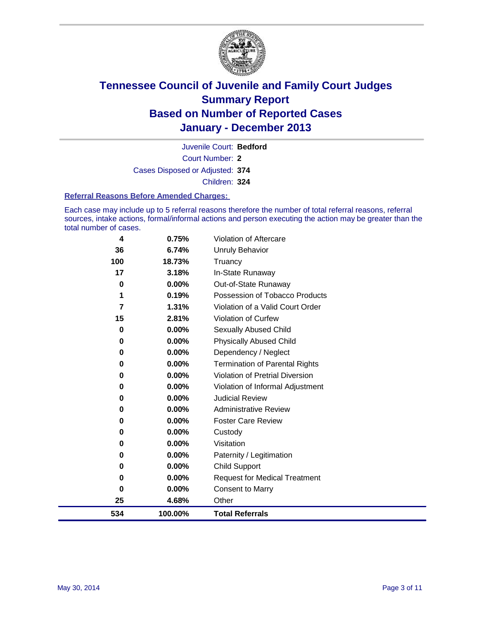

Court Number: **2** Juvenile Court: **Bedford** Cases Disposed or Adjusted: **374** Children: **324**

#### **Referral Reasons Before Amended Charges:**

Each case may include up to 5 referral reasons therefore the number of total referral reasons, referral sources, intake actions, formal/informal actions and person executing the action may be greater than the total number of cases.

| 4        | 0.75%    | Violation of Aftercare                |
|----------|----------|---------------------------------------|
| 36       | 6.74%    | <b>Unruly Behavior</b>                |
| 100      | 18.73%   | Truancy                               |
| 17       | 3.18%    | In-State Runaway                      |
| 0        | $0.00\%$ | Out-of-State Runaway                  |
| 1        | 0.19%    | Possession of Tobacco Products        |
| 7        | 1.31%    | Violation of a Valid Court Order      |
| 15       | 2.81%    | <b>Violation of Curfew</b>            |
| 0        | $0.00\%$ | Sexually Abused Child                 |
| 0        | $0.00\%$ | <b>Physically Abused Child</b>        |
| 0        | 0.00%    | Dependency / Neglect                  |
| $\bf{0}$ | $0.00\%$ | <b>Termination of Parental Rights</b> |
| 0        | $0.00\%$ | Violation of Pretrial Diversion       |
| 0        | 0.00%    | Violation of Informal Adjustment      |
| 0        | $0.00\%$ | <b>Judicial Review</b>                |
| 0        | $0.00\%$ | <b>Administrative Review</b>          |
| 0        | 0.00%    | <b>Foster Care Review</b>             |
| 0        | $0.00\%$ | Custody                               |
| 0        | 0.00%    | Visitation                            |
| 0        | $0.00\%$ | Paternity / Legitimation              |
| 0        | 0.00%    | <b>Child Support</b>                  |
| 0        | 0.00%    | <b>Request for Medical Treatment</b>  |
| 0        | 0.00%    | <b>Consent to Marry</b>               |
| 25       | 4.68%    | Other                                 |
| 534      | 100.00%  | <b>Total Referrals</b>                |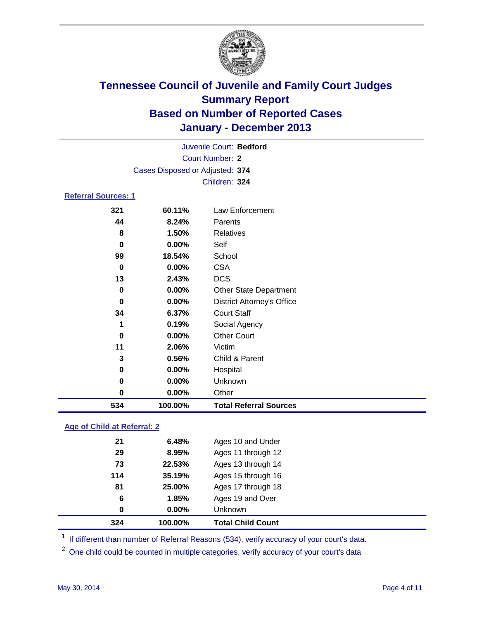

|                            |                                 | Juvenile Court: Bedford                           |  |  |  |  |
|----------------------------|---------------------------------|---------------------------------------------------|--|--|--|--|
| Court Number: 2            |                                 |                                                   |  |  |  |  |
|                            | Cases Disposed or Adjusted: 374 |                                                   |  |  |  |  |
|                            |                                 | Children: 324                                     |  |  |  |  |
| <b>Referral Sources: 1</b> |                                 |                                                   |  |  |  |  |
| 321                        | 60.11%                          | Law Enforcement                                   |  |  |  |  |
| 44                         | 8.24%                           | Parents                                           |  |  |  |  |
| 8                          | 1.50%                           | <b>Relatives</b>                                  |  |  |  |  |
| 0                          | $0.00\%$                        | Self                                              |  |  |  |  |
| 99                         | 18.54%                          | School                                            |  |  |  |  |
| 0                          | $0.00\%$                        | <b>CSA</b>                                        |  |  |  |  |
| 13                         | 2.43%                           | <b>DCS</b>                                        |  |  |  |  |
| 0                          | $0.00\%$                        | <b>Other State Department</b>                     |  |  |  |  |
| 0                          | $0.00\%$                        | <b>District Attorney's Office</b>                 |  |  |  |  |
| 34                         | 6.37%                           | <b>Court Staff</b>                                |  |  |  |  |
| 1                          | $0.19\%$                        | Social Agency                                     |  |  |  |  |
|                            | <u>, געמי</u>                   | $\mathbf{A} \mathbf{B}$ . $\mathbf{A} \mathbf{B}$ |  |  |  |  |

| 534 | 100.00%  | <b>Total Referral Sources</b> |  |
|-----|----------|-------------------------------|--|
| 0   | $0.00\%$ | Other                         |  |
| 0   | $0.00\%$ | <b>Unknown</b>                |  |
| 0   | $0.00\%$ | Hospital                      |  |
| 3   | 0.56%    | Child & Parent                |  |
| 11  | 2.06%    | Victim                        |  |
| 0   | $0.00\%$ | Other Court                   |  |

### **Age of Child at Referral: 2**

|     | 100.00%  | <b>Total Child Count</b> |
|-----|----------|--------------------------|
| 0   | $0.00\%$ | <b>Unknown</b>           |
| 6   | 1.85%    | Ages 19 and Over         |
| 81  | 25.00%   | Ages 17 through 18       |
| 114 | 35.19%   | Ages 15 through 16       |
| 73  | 22.53%   | Ages 13 through 14       |
| 29  | 8.95%    | Ages 11 through 12       |
| 21  | 6.48%    | Ages 10 and Under        |
|     | 324      |                          |

<sup>1</sup> If different than number of Referral Reasons (534), verify accuracy of your court's data.

<sup>2</sup> One child could be counted in multiple categories, verify accuracy of your court's data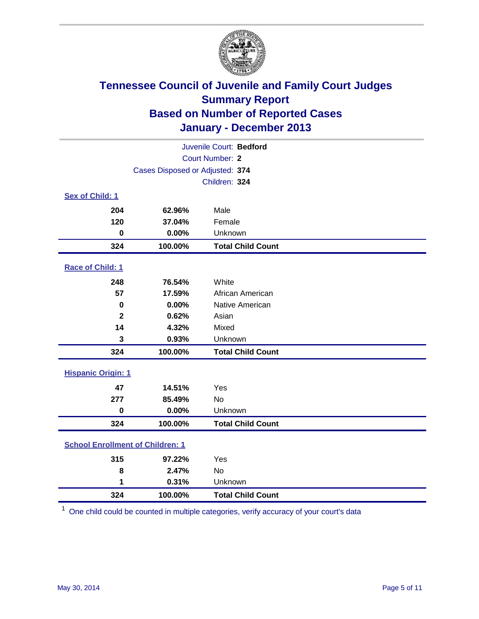

| Juvenile Court: Bedford                 |                                 |                          |  |  |
|-----------------------------------------|---------------------------------|--------------------------|--|--|
| Court Number: 2                         |                                 |                          |  |  |
|                                         | Cases Disposed or Adjusted: 374 |                          |  |  |
|                                         |                                 | Children: 324            |  |  |
| Sex of Child: 1                         |                                 |                          |  |  |
| 204                                     | 62.96%                          | Male                     |  |  |
| 120                                     | 37.04%                          | Female                   |  |  |
| $\bf{0}$                                | 0.00%                           | Unknown                  |  |  |
| 324                                     | 100.00%                         | <b>Total Child Count</b> |  |  |
| Race of Child: 1                        |                                 |                          |  |  |
| 248                                     | 76.54%                          | White                    |  |  |
| 57                                      | 17.59%                          | African American         |  |  |
| $\bf{0}$                                | 0.00%                           | Native American          |  |  |
| $\mathbf{2}$                            | 0.62%                           | Asian                    |  |  |
| 14                                      | 4.32%                           | Mixed                    |  |  |
| 3                                       | 0.93%                           | Unknown                  |  |  |
| 324                                     | 100.00%                         | <b>Total Child Count</b> |  |  |
| <b>Hispanic Origin: 1</b>               |                                 |                          |  |  |
| 47                                      | 14.51%                          | Yes                      |  |  |
| 277                                     | 85.49%                          | <b>No</b>                |  |  |
| $\pmb{0}$                               | 0.00%                           | Unknown                  |  |  |
| 324                                     | 100.00%                         | <b>Total Child Count</b> |  |  |
| <b>School Enrollment of Children: 1</b> |                                 |                          |  |  |
| 315                                     | 97.22%                          | Yes                      |  |  |
| 8                                       | 2.47%                           | <b>No</b>                |  |  |
| 1                                       | 0.31%                           | Unknown                  |  |  |
| 324                                     | 100.00%                         | <b>Total Child Count</b> |  |  |

One child could be counted in multiple categories, verify accuracy of your court's data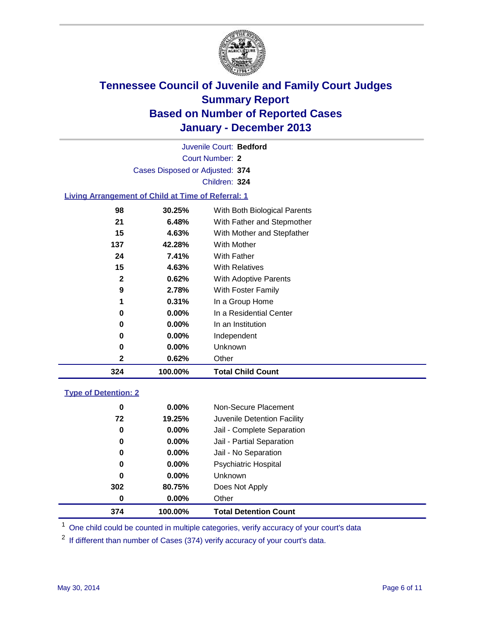

Court Number: **2** Juvenile Court: **Bedford** Cases Disposed or Adjusted: **374** Children: **324**

### **Living Arrangement of Child at Time of Referral: 1**

| 324 | 100.00%  | <b>Total Child Count</b>     |
|-----|----------|------------------------------|
| 2   | 0.62%    | Other                        |
| 0   | 0.00%    | Unknown                      |
| 0   | $0.00\%$ | Independent                  |
| 0   | $0.00\%$ | In an Institution            |
| 0   | $0.00\%$ | In a Residential Center      |
| 1   | 0.31%    | In a Group Home              |
| 9   | 2.78%    | With Foster Family           |
| 2   | 0.62%    | <b>With Adoptive Parents</b> |
| 15  | 4.63%    | <b>With Relatives</b>        |
| 24  | 7.41%    | With Father                  |
| 137 | 42.28%   | <b>With Mother</b>           |
| 15  | 4.63%    | With Mother and Stepfather   |
| 21  | 6.48%    | With Father and Stepmother   |
| 98  | 30.25%   | With Both Biological Parents |
|     |          |                              |

### **Type of Detention: 2**

| 374 | 100.00%  | <b>Total Detention Count</b> |  |
|-----|----------|------------------------------|--|
| 0   | 0.00%    | Other                        |  |
| 302 | 80.75%   | Does Not Apply               |  |
| 0   | 0.00%    | <b>Unknown</b>               |  |
| 0   | $0.00\%$ | <b>Psychiatric Hospital</b>  |  |
| 0   | 0.00%    | Jail - No Separation         |  |
| 0   | $0.00\%$ | Jail - Partial Separation    |  |
| 0   | 0.00%    | Jail - Complete Separation   |  |
| 72  | 19.25%   | Juvenile Detention Facility  |  |
| 0   | $0.00\%$ | Non-Secure Placement         |  |
|     |          |                              |  |

<sup>1</sup> One child could be counted in multiple categories, verify accuracy of your court's data

If different than number of Cases (374) verify accuracy of your court's data.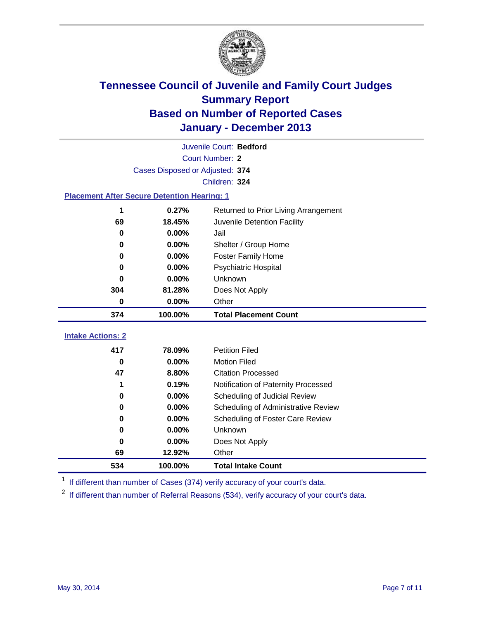

|                                                    | Juvenile Court: Bedford         |                                      |  |  |  |  |  |
|----------------------------------------------------|---------------------------------|--------------------------------------|--|--|--|--|--|
|                                                    | Court Number: 2                 |                                      |  |  |  |  |  |
|                                                    | Cases Disposed or Adjusted: 374 |                                      |  |  |  |  |  |
|                                                    | Children: 324                   |                                      |  |  |  |  |  |
| <b>Placement After Secure Detention Hearing: 1</b> |                                 |                                      |  |  |  |  |  |
| 1                                                  | 0.27%                           | Returned to Prior Living Arrangement |  |  |  |  |  |
| 69                                                 | 18.45%                          | Juvenile Detention Facility          |  |  |  |  |  |
| $\bf{0}$                                           | 0.00%                           | Jail                                 |  |  |  |  |  |
| 0                                                  | 0.00%                           | Shelter / Group Home                 |  |  |  |  |  |
| $\bf{0}$                                           | 0.00%                           | <b>Foster Family Home</b>            |  |  |  |  |  |
| 0                                                  | 0.00%                           | Psychiatric Hospital                 |  |  |  |  |  |
| 0                                                  | 0.00%                           | Unknown                              |  |  |  |  |  |
| 304                                                | 81.28%                          | Does Not Apply                       |  |  |  |  |  |
| 0                                                  | 0.00%                           | Other                                |  |  |  |  |  |
| 374                                                | 100.00%                         | <b>Total Placement Count</b>         |  |  |  |  |  |
| <b>Intake Actions: 2</b>                           |                                 |                                      |  |  |  |  |  |
|                                                    |                                 |                                      |  |  |  |  |  |
| 417                                                | 78.09%                          | <b>Petition Filed</b>                |  |  |  |  |  |
| $\bf{0}$                                           | 0.00%                           | <b>Motion Filed</b>                  |  |  |  |  |  |
| 47                                                 | 8.80%                           | <b>Citation Processed</b>            |  |  |  |  |  |
| 1                                                  | 0.19%                           | Notification of Paternity Processed  |  |  |  |  |  |
| $\bf{0}$                                           | 0.00%                           | Scheduling of Judicial Review        |  |  |  |  |  |
| $\bf{0}$                                           | 0.00%                           | Scheduling of Administrative Review  |  |  |  |  |  |
| 0                                                  | 0.00%                           | Scheduling of Foster Care Review     |  |  |  |  |  |
| 0                                                  | 0.00%                           | Unknown                              |  |  |  |  |  |
| $\bf{0}$                                           |                                 |                                      |  |  |  |  |  |
|                                                    | 0.00%                           | Does Not Apply                       |  |  |  |  |  |
| 69<br>534                                          | 12.92%<br>100.00%               | Other                                |  |  |  |  |  |

<sup>1</sup> If different than number of Cases (374) verify accuracy of your court's data.

If different than number of Referral Reasons (534), verify accuracy of your court's data.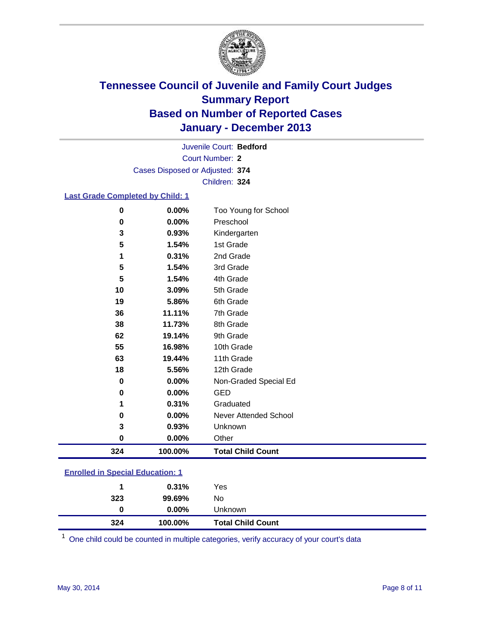

Court Number: **2** Juvenile Court: **Bedford** Cases Disposed or Adjusted: **374** Children: **324**

#### **Last Grade Completed by Child: 1**

| $\bf{0}$ | 0.00%          | Other                            |
|----------|----------------|----------------------------------|
| 0<br>3   | 0.00%<br>0.93% | Never Attended School<br>Unknown |
| 1        | 0.31%          | Graduated                        |
| 0        | 0.00%          | <b>GED</b>                       |
| 0        | 0.00%          | Non-Graded Special Ed            |
| 18       | 5.56%          | 12th Grade                       |
| 63       | 19.44%         | 11th Grade                       |
| 55       | 16.98%         | 10th Grade                       |
| 62       | 19.14%         | 9th Grade                        |
| 38       | 11.73%         | 8th Grade                        |
| 36       | 11.11%         | 7th Grade                        |
| 19       | 5.86%          | 6th Grade                        |
| 10       | 3.09%          | 5th Grade                        |
| 5        | 1.54%          | 4th Grade                        |
| 5        | 1.54%          | 3rd Grade                        |
| 1        | 0.31%          | 2nd Grade                        |
| 5        | 1.54%          | 1st Grade                        |
| 3        | 0.93%          | Kindergarten                     |
| 0        | 0.00%          | Preschool                        |
| $\bf{0}$ | 0.00%          | Too Young for School             |

| 324 | 100.00%  | <b>Total Child Count</b> |  |
|-----|----------|--------------------------|--|
| 0   | $0.00\%$ | <b>Unknown</b>           |  |
| 323 | 99.69%   | No                       |  |
|     | 0.31%    | Yes                      |  |
|     |          |                          |  |

One child could be counted in multiple categories, verify accuracy of your court's data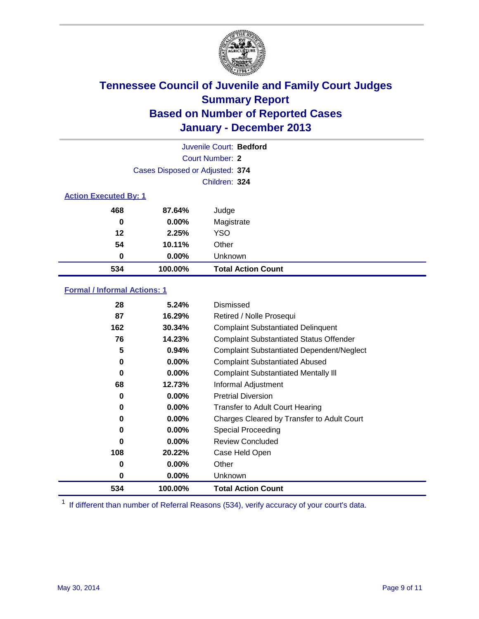

|                              |                                 | Juvenile Court: Bedford   |
|------------------------------|---------------------------------|---------------------------|
|                              |                                 | Court Number: 2           |
|                              | Cases Disposed or Adjusted: 374 |                           |
|                              |                                 | Children: 324             |
| <b>Action Executed By: 1</b> |                                 |                           |
| 468                          | 87.64%                          | Judge                     |
| 0                            | $0.00\%$                        | Magistrate                |
| 12                           | 2.25%                           | <b>YSO</b>                |
| 54                           | 10.11%                          | Other                     |
| 0                            | $0.00\%$                        | Unknown                   |
| 534                          | 100.00%                         | <b>Total Action Count</b> |

### **Formal / Informal Actions: 1**

| 28  | 5.24%    | Dismissed                                        |
|-----|----------|--------------------------------------------------|
| 87  | 16.29%   | Retired / Nolle Prosequi                         |
| 162 | 30.34%   | <b>Complaint Substantiated Delinquent</b>        |
| 76  | 14.23%   | <b>Complaint Substantiated Status Offender</b>   |
| 5   | 0.94%    | <b>Complaint Substantiated Dependent/Neglect</b> |
| 0   | $0.00\%$ | <b>Complaint Substantiated Abused</b>            |
| 0   | $0.00\%$ | <b>Complaint Substantiated Mentally III</b>      |
| 68  | 12.73%   | Informal Adjustment                              |
| 0   | $0.00\%$ | <b>Pretrial Diversion</b>                        |
| 0   | 0.00%    | <b>Transfer to Adult Court Hearing</b>           |
| 0   | $0.00\%$ | Charges Cleared by Transfer to Adult Court       |
| 0   | $0.00\%$ | Special Proceeding                               |
| 0   | $0.00\%$ | <b>Review Concluded</b>                          |
| 108 | 20.22%   | Case Held Open                                   |
| 0   | $0.00\%$ | Other                                            |
| 0   | $0.00\%$ | <b>Unknown</b>                                   |
| 534 | 100.00%  | <b>Total Action Count</b>                        |

<sup>1</sup> If different than number of Referral Reasons (534), verify accuracy of your court's data.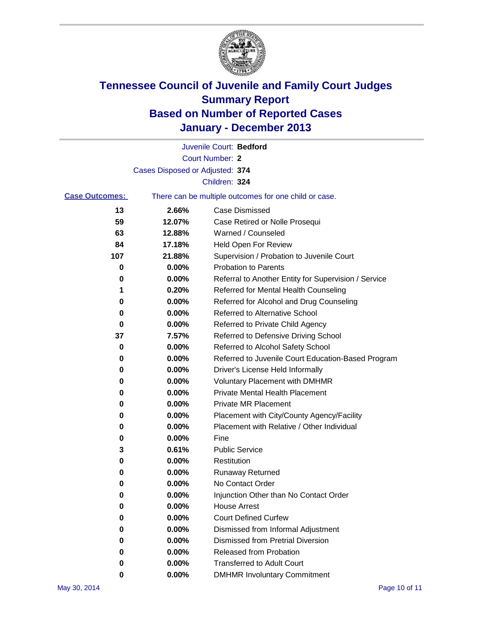

|                       |                                 | Juvenile Court: Bedford                               |
|-----------------------|---------------------------------|-------------------------------------------------------|
|                       |                                 | <b>Court Number: 2</b>                                |
|                       | Cases Disposed or Adjusted: 374 |                                                       |
|                       |                                 | Children: 324                                         |
| <b>Case Outcomes:</b> |                                 | There can be multiple outcomes for one child or case. |
| 13                    | 2.66%                           | <b>Case Dismissed</b>                                 |
| 59                    | 12.07%                          | Case Retired or Nolle Prosequi                        |
| 63                    | 12.88%                          | Warned / Counseled                                    |
| 84                    | 17.18%                          | Held Open For Review                                  |
| 107                   | 21.88%                          | Supervision / Probation to Juvenile Court             |
| 0                     | 0.00%                           | <b>Probation to Parents</b>                           |
| 0                     | 0.00%                           | Referral to Another Entity for Supervision / Service  |
| 1                     | 0.20%                           | Referred for Mental Health Counseling                 |
| 0                     | 0.00%                           | Referred for Alcohol and Drug Counseling              |
| 0                     | 0.00%                           | <b>Referred to Alternative School</b>                 |
| 0                     | 0.00%                           | Referred to Private Child Agency                      |
| 37                    | 7.57%                           | Referred to Defensive Driving School                  |
| 0                     | 0.00%                           | Referred to Alcohol Safety School                     |
| 0                     | 0.00%                           | Referred to Juvenile Court Education-Based Program    |
| 0                     | 0.00%                           | Driver's License Held Informally                      |
| 0                     | 0.00%                           | <b>Voluntary Placement with DMHMR</b>                 |
| 0                     | 0.00%                           | <b>Private Mental Health Placement</b>                |
| 0                     | 0.00%                           | <b>Private MR Placement</b>                           |
| 0                     | 0.00%                           | Placement with City/County Agency/Facility            |
| 0                     | 0.00%                           | Placement with Relative / Other Individual            |
| 0                     | 0.00%                           | Fine                                                  |
| 3                     | 0.61%                           | <b>Public Service</b>                                 |
| 0                     | 0.00%                           | Restitution                                           |
| 0                     | 0.00%                           | <b>Runaway Returned</b>                               |
| 0                     | 0.00%                           | No Contact Order                                      |
| o                     | 0.00%                           | Injunction Other than No Contact Order                |
| 0                     | 0.00%                           | <b>House Arrest</b>                                   |
| 0                     | 0.00%                           | <b>Court Defined Curfew</b>                           |
| 0                     | 0.00%                           | Dismissed from Informal Adjustment                    |
| 0                     | 0.00%                           | <b>Dismissed from Pretrial Diversion</b>              |
| 0                     | 0.00%                           | <b>Released from Probation</b>                        |
| 0                     | 0.00%                           | <b>Transferred to Adult Court</b>                     |
| 0                     | $0.00\%$                        | <b>DMHMR Involuntary Commitment</b>                   |